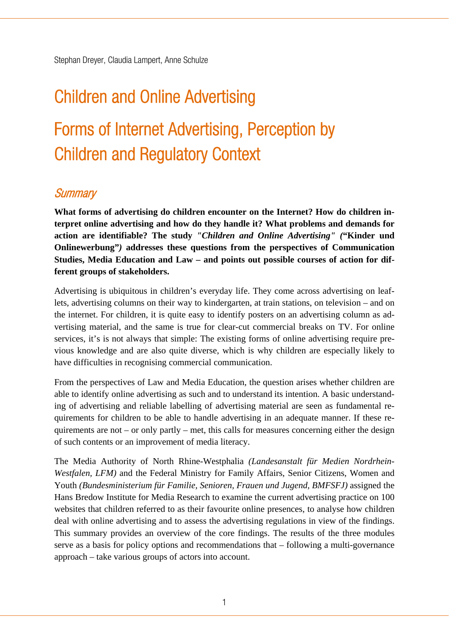# Children and Online Advertising Forms of Internet Advertising, Perception by Children and Regulatory Context

# **Summary**

**What forms of advertising do children encounter on the Internet? How do children interpret online advertising and how do they handle it? What problems and demands for action are identifiable? The study** *"Children and Online Advertising" (***"Kinder und Onlinewerbung"***)* **addresses these questions from the perspectives of Communication Studies, Media Education and Law – and points out possible courses of action for different groups of stakeholders.** 

Advertising is ubiquitous in children's everyday life. They come across advertising on leaflets, advertising columns on their way to kindergarten, at train stations, on television – and on the internet. For children, it is quite easy to identify posters on an advertising column as advertising material, and the same is true for clear-cut commercial breaks on TV. For online services, it's is not always that simple: The existing forms of online advertising require previous knowledge and are also quite diverse, which is why children are especially likely to have difficulties in recognising commercial communication.

From the perspectives of Law and Media Education, the question arises whether children are able to identify online advertising as such and to understand its intention. A basic understanding of advertising and reliable labelling of advertising material are seen as fundamental requirements for children to be able to handle advertising in an adequate manner. If these requirements are not – or only partly – met, this calls for measures concerning either the design of such contents or an improvement of media literacy.

The Media Authority of North Rhine-Westphalia *(Landesanstalt für Medien Nordrhein-Westfalen, LFM)* and the Federal Ministry for Family Affairs, Senior Citizens, Women and Youth *(Bundesministerium für Familie, Senioren, Frauen und Jugend, BMFSFJ)* assigned the Hans Bredow Institute for Media Research to examine the current advertising practice on 100 websites that children referred to as their favourite online presences, to analyse how children deal with online advertising and to assess the advertising regulations in view of the findings. This summary provides an overview of the core findings. The results of the three modules serve as a basis for policy options and recommendations that – following a multi-governance approach – take various groups of actors into account.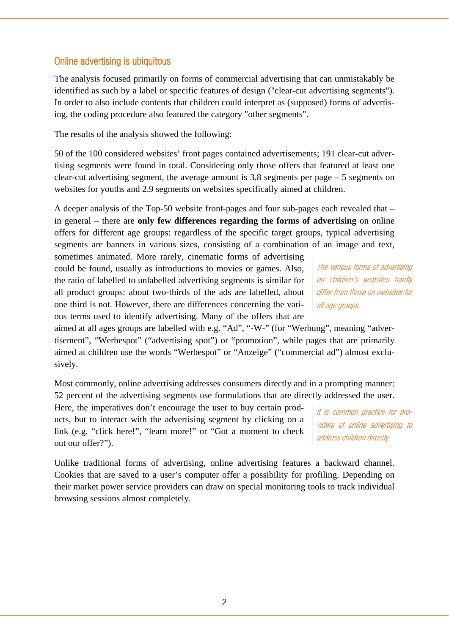### Online advertising is ubiquitous

The analysis focused primarily on forms of commercial advertising that can unmistakably be identified as such by a label or specific features of design ("clear-cut advertising segments"). In order to also include contents that children could interpret as (supposed) forms of advertising, the coding procedure also featured the category "other segments".

The results of the analysis showed the following:

50 of the 100 considered websites' front pages contained advertisements; 191 clear-cut advertising segments were found in total. Considering only those offers that featured at least one clear-cut advertising segment, the average amount is  $3.8$  segments per page  $-5$  segments on websites for youths and 2.9 segments on websites specifically aimed at children.

A deeper analysis of the Top-50 website front-pages and four sub-pages each revealed that – in general – there are **only few differences regarding the forms of advertising** on online offers for different age groups: regardless of the specific target groups, typical advertising segments are banners in various sizes, consisting of a combination of an image and text,

sometimes animated. More rarely, cinematic forms of advertising could be found, usually as introductions to movies or games. Also, the ratio of labelled to unlabelled advertising segments is similar for all product groups: about two-thirds of the ads are labelled, about one third is not. However, there are differences concerning the various terms used to identify advertising. Many of the offers that are

The various forms of advertising on children's websites hardly differ from those on websites for all age groups.

aimed at all ages groups are labelled with e.g. "Ad", "-W-" (for "Werbung", meaning "advertisement", "Werbespot" ("advertising spot") or "promotion", while pages that are primarily aimed at children use the words "Werbespot" or "Anzeige" ("commercial ad") almost exclusively.

Most commonly, online advertising addresses consumers directly and in a prompting manner: 52 percent of the advertising segments use formulations that are directly addressed the user.

Here, the imperatives don't encourage the user to buy certain products, but to interact with the advertising segment by clicking on a link (e.g. "click here!", "learn more!" or "Got a moment to check out our offer?").

It is common practice for providers of online advertising to address children directly.

Unlike traditional forms of advertising, online advertising features a backward channel. Cookies that are saved to a user's computer offer a possibility for profiling. Depending on their market power service providers can draw on special monitoring tools to track individual browsing sessions almost completely.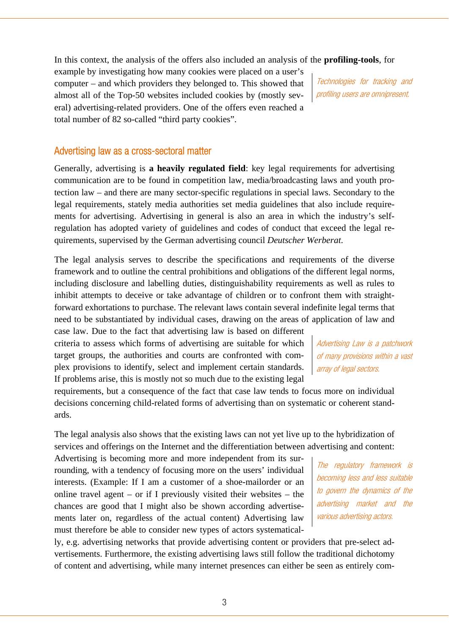In this context, the analysis of the offers also included an analysis of the **profiling-tools**, for

example by investigating how many cookies were placed on a user's computer – and which providers they belonged to. This showed that almost all of the Top-50 websites included cookies by (mostly several) advertising-related providers. One of the offers even reached a total number of 82 so-called "third party cookies".

Technologies for tracking and profiling users are omnipresent.

#### Advertising law as a cross-sectoral matter

Generally, advertising is **a heavily regulated field**: key legal requirements for advertising communication are to be found in competition law, media/broadcasting laws and youth protection law – and there are many sector-specific regulations in special laws. Secondary to the legal requirements, stately media authorities set media guidelines that also include requirements for advertising. Advertising in general is also an area in which the industry's selfregulation has adopted variety of guidelines and codes of conduct that exceed the legal requirements, supervised by the German advertising council *Deutscher Werberat*.

The legal analysis serves to describe the specifications and requirements of the diverse framework and to outline the central prohibitions and obligations of the different legal norms, including disclosure and labelling duties, distinguishability requirements as well as rules to inhibit attempts to deceive or take advantage of children or to confront them with straightforward exhortations to purchase. The relevant laws contain several indefinite legal terms that need to be substantiated by individual cases, drawing on the areas of application of law and

case law. Due to the fact that advertising law is based on different criteria to assess which forms of advertising are suitable for which target groups, the authorities and courts are confronted with complex provisions to identify, select and implement certain standards. If problems arise, this is mostly not so much due to the existing legal

Advertising Law is a patchwork of many provisions within a vast array of legal sectors.

requirements, but a consequence of the fact that case law tends to focus more on individual decisions concerning child-related forms of advertising than on systematic or coherent standards.

The legal analysis also shows that the existing laws can not yet live up to the hybridization of services and offerings on the Internet and the differentiation between advertising and content:

Advertising is becoming more and more independent from its surrounding, with a tendency of focusing more on the users' individual interests. (Example: If I am a customer of a shoe-mailorder or an online travel agent – or if I previously visited their websites – the chances are good that I might also be shown according advertisements later on, regardless of the actual content) Advertising law must therefore be able to consider new types of actors systematical-

The regulatory framework is becoming less and less suitable to govern the dynamics of the advertising market and the various advertising actors.

ly, e.g. advertising networks that provide advertising content or providers that pre-select advertisements. Furthermore, the existing advertising laws still follow the traditional dichotomy of content and advertising, while many internet presences can either be seen as entirely com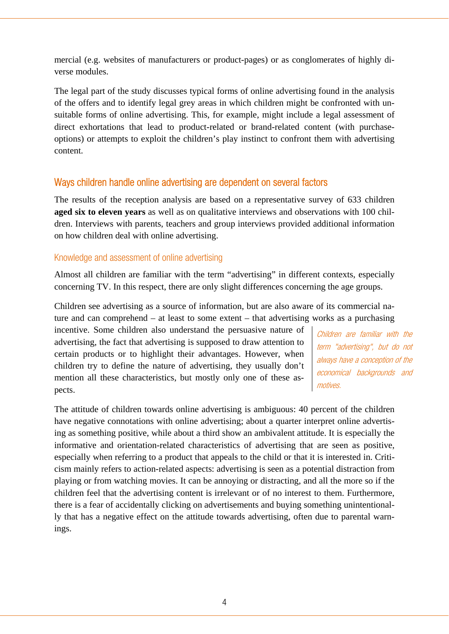mercial (e.g. websites of manufacturers or product-pages) or as conglomerates of highly diverse modules.

The legal part of the study discusses typical forms of online advertising found in the analysis of the offers and to identify legal grey areas in which children might be confronted with unsuitable forms of online advertising. This, for example, might include a legal assessment of direct exhortations that lead to product-related or brand-related content (with purchaseoptions) or attempts to exploit the children's play instinct to confront them with advertising content.

#### Ways children handle online advertising are dependent on several factors

The results of the reception analysis are based on a representative survey of 633 children **aged six to eleven years** as well as on qualitative interviews and observations with 100 children. Interviews with parents, teachers and group interviews provided additional information on how children deal with online advertising.

#### Knowledge and assessment of online advertising

Almost all children are familiar with the term "advertising" in different contexts, especially concerning TV. In this respect, there are only slight differences concerning the age groups.

Children see advertising as a source of information, but are also aware of its commercial nature and can comprehend – at least to some extent – that advertising works as a purchasing

incentive. Some children also understand the persuasive nature of advertising, the fact that advertising is supposed to draw attention to certain products or to highlight their advantages. However, when children try to define the nature of advertising, they usually don't mention all these characteristics, but mostly only one of these aspects.

Children are familiar with the term "advertising", but do not always have a conception of the economical backgrounds and motives.

The attitude of children towards online advertising is ambiguous: 40 percent of the children have negative connotations with online advertising; about a quarter interpret online advertising as something positive, while about a third show an ambivalent attitude. It is especially the informative and orientation-related characteristics of advertising that are seen as positive, especially when referring to a product that appeals to the child or that it is interested in. Criticism mainly refers to action-related aspects: advertising is seen as a potential distraction from playing or from watching movies. It can be annoying or distracting, and all the more so if the children feel that the advertising content is irrelevant or of no interest to them. Furthermore, there is a fear of accidentally clicking on advertisements and buying something unintentionally that has a negative effect on the attitude towards advertising, often due to parental warnings.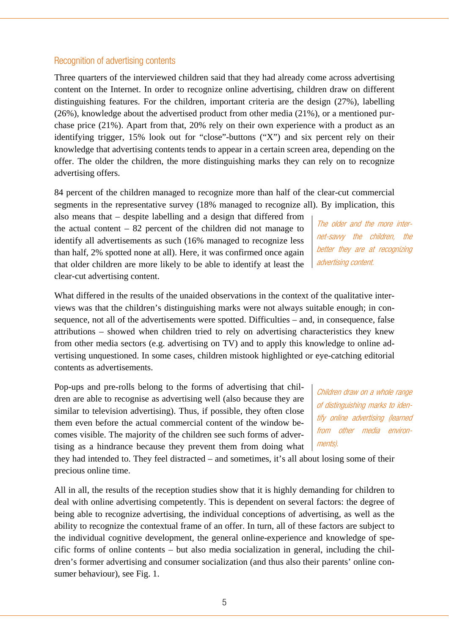Three quarters of the interviewed children said that they had already come across advertising content on the Internet. In order to recognize online advertising, children draw on different distinguishing features. For the children, important criteria are the design (27%), labelling (26%), knowledge about the advertised product from other media (21%), or a mentioned purchase price (21%). Apart from that, 20% rely on their own experience with a product as an identifying trigger, 15% look out for "close"-buttons ("X") and six percent rely on their knowledge that advertising contents tends to appear in a certain screen area, depending on the offer. The older the children, the more distinguishing marks they can rely on to recognize advertising offers.

84 percent of the children managed to recognize more than half of the clear-cut commercial segments in the representative survey (18% managed to recognize all). By implication, this

also means that – despite labelling and a design that differed from the actual content  $-82$  percent of the children did not manage to identify all advertisements as such (16% managed to recognize less than half, 2% spotted none at all). Here, it was confirmed once again that older children are more likely to be able to identify at least the clear-cut advertising content.

What differed in the results of the unaided observations in the context of the qualitative interviews was that the children's distinguishing marks were not always suitable enough; in consequence, not all of the advertisements were spotted. Difficulties – and, in consequence, false attributions – showed when children tried to rely on advertising characteristics they knew from other media sectors (e.g. advertising on TV) and to apply this knowledge to online advertising unquestioned. In some cases, children mistook highlighted or eye-catching editorial contents as advertisements.

Pop-ups and pre-rolls belong to the forms of advertising that children are able to recognise as advertising well (also because they are similar to television advertising). Thus, if possible, they often close them even before the actual commercial content of the window becomes visible. The majority of the children see such forms of advertising as a hindrance because they prevent them from doing what

they had intended to. They feel distracted – and sometimes, it's all about losing some of their precious online time.

All in all, the results of the reception studies show that it is highly demanding for children to deal with online advertising competently. This is dependent on several factors: the degree of being able to recognize advertising, the individual conceptions of advertising, as well as the ability to recognize the contextual frame of an offer. In turn, all of these factors are subject to the individual cognitive development, the general online-experience and knowledge of specific forms of online contents – but also media socialization in general, including the children's former advertising and consumer socialization (and thus also their parents' online consumer behaviour), see Fig. 1.

The older and the more internet-savvy the children, the better they are at recognizing advertising content.

Children draw on a whole range of distinguishing marks to identify online advertising (learned from other media environments).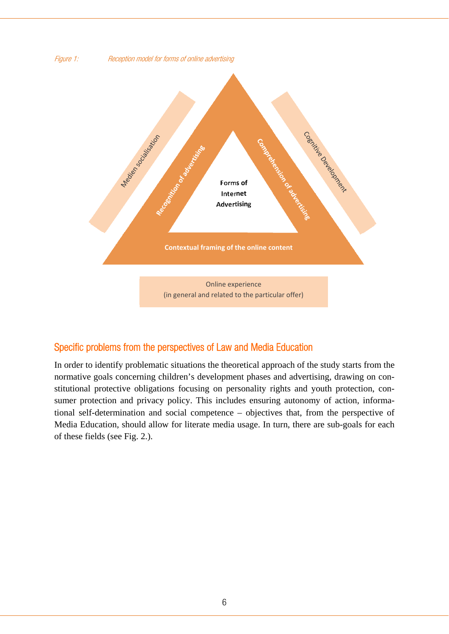

# Specific problems from the perspectives of Law and Media Education

In order to identify problematic situations the theoretical approach of the study starts from the normative goals concerning children's development phases and advertising, drawing on constitutional protective obligations focusing on personality rights and youth protection, consumer protection and privacy policy. This includes ensuring autonomy of action, informational self-determination and social competence – objectives that, from the perspective of Media Education, should allow for literate media usage. In turn, there are sub-goals for each of these fields (see Fig. 2.).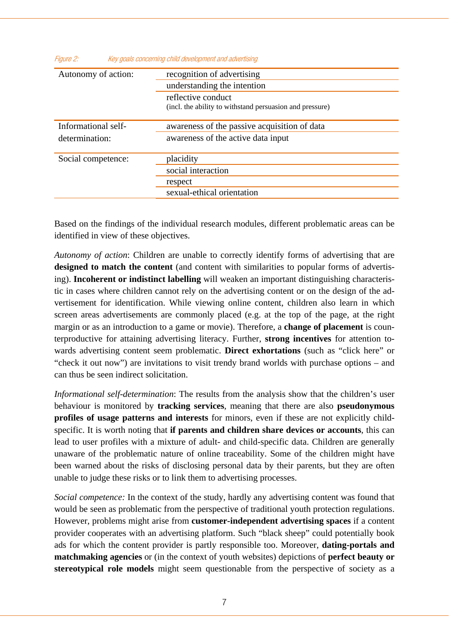| Key goals concerning child development and advertising<br>Figure 2: |                                                          |
|---------------------------------------------------------------------|----------------------------------------------------------|
| Autonomy of action:                                                 | recognition of advertising                               |
|                                                                     | understanding the intention                              |
|                                                                     | reflective conduct                                       |
|                                                                     | (incl. the ability to withstand persuasion and pressure) |
| Informational self-                                                 | awareness of the passive acquisition of data             |
| determination:                                                      | awareness of the active data input                       |
| Social competence:                                                  | placidity                                                |
|                                                                     | social interaction                                       |
|                                                                     | respect                                                  |
|                                                                     | sexual-ethical orientation                               |
|                                                                     |                                                          |

Based on the findings of the individual research modules, different problematic areas can be identified in view of these objectives.

*Autonomy of action*: Children are unable to correctly identify forms of advertising that are **designed to match the content** (and content with similarities to popular forms of advertising). **Incoherent or indistinct labelling** will weaken an important distinguishing characteristic in cases where children cannot rely on the advertising content or on the design of the advertisement for identification. While viewing online content, children also learn in which screen areas advertisements are commonly placed (e.g. at the top of the page, at the right margin or as an introduction to a game or movie). Therefore, a **change of placement** is counterproductive for attaining advertising literacy. Further, **strong incentives** for attention towards advertising content seem problematic. **Direct exhortations** (such as "click here" or "check it out now") are invitations to visit trendy brand worlds with purchase options – and can thus be seen indirect solicitation.

*Informational self-determination*: The results from the analysis show that the children's user behaviour is monitored by **tracking services**, meaning that there are also **pseudonymous profiles of usage patterns and interests** for minors, even if these are not explicitly childspecific. It is worth noting that **if parents and children share devices or accounts**, this can lead to user profiles with a mixture of adult- and child-specific data. Children are generally unaware of the problematic nature of online traceability. Some of the children might have been warned about the risks of disclosing personal data by their parents, but they are often unable to judge these risks or to link them to advertising processes.

*Social competence:* In the context of the study, hardly any advertising content was found that would be seen as problematic from the perspective of traditional youth protection regulations. However, problems might arise from **customer-independent advertising spaces** if a content provider cooperates with an advertising platform. Such "black sheep" could potentially book ads for which the content provider is partly responsible too. Moreover, **dating-portals and matchmaking agencies** or (in the context of youth websites) depictions of **perfect beauty or stereotypical role models** might seem questionable from the perspective of society as a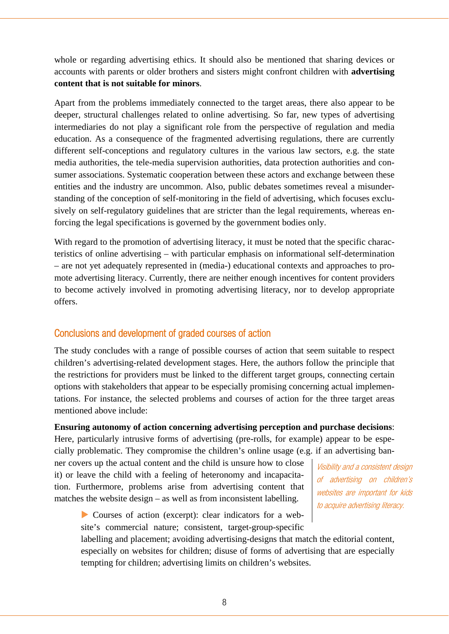whole or regarding advertising ethics. It should also be mentioned that sharing devices or accounts with parents or older brothers and sisters might confront children with **advertising content that is not suitable for minors**.

Apart from the problems immediately connected to the target areas, there also appear to be deeper, structural challenges related to online advertising. So far, new types of advertising intermediaries do not play a significant role from the perspective of regulation and media education. As a consequence of the fragmented advertising regulations, there are currently different self-conceptions and regulatory cultures in the various law sectors, e.g. the state media authorities, the tele-media supervision authorities, data protection authorities and consumer associations. Systematic cooperation between these actors and exchange between these entities and the industry are uncommon. Also, public debates sometimes reveal a misunderstanding of the conception of self-monitoring in the field of advertising, which focuses exclusively on self-regulatory guidelines that are stricter than the legal requirements, whereas enforcing the legal specifications is governed by the government bodies only.

With regard to the promotion of advertising literacy, it must be noted that the specific characteristics of online advertising – with particular emphasis on informational self-determination – are not yet adequately represented in (media-) educational contexts and approaches to promote advertising literacy. Currently, there are neither enough incentives for content providers to become actively involved in promoting advertising literacy, nor to develop appropriate offers.

## Conclusions and development of graded courses of action

The study concludes with a range of possible courses of action that seem suitable to respect children's advertising-related development stages. Here, the authors follow the principle that the restrictions for providers must be linked to the different target groups, connecting certain options with stakeholders that appear to be especially promising concerning actual implementations. For instance, the selected problems and courses of action for the three target areas mentioned above include:

**Ensuring autonomy of action concerning advertising perception and purchase decisions**:

Here, particularly intrusive forms of advertising (pre-rolls, for example) appear to be especially problematic. They compromise the children's online usage (e.g. if an advertising ban-

ner covers up the actual content and the child is unsure how to close it) or leave the child with a feeling of heteronomy and incapacitation. Furthermore, problems arise from advertising content that matches the website design – as well as from inconsistent labelling.

Visibility and a consistent design of advertising on children's websites are important for kids to acquire advertising literacy.

 Courses of action (excerpt): clear indicators for a website's commercial nature; consistent, target-group-specific

labelling and placement; avoiding advertising-designs that match the editorial content, especially on websites for children; disuse of forms of advertising that are especially tempting for children; advertising limits on children's websites.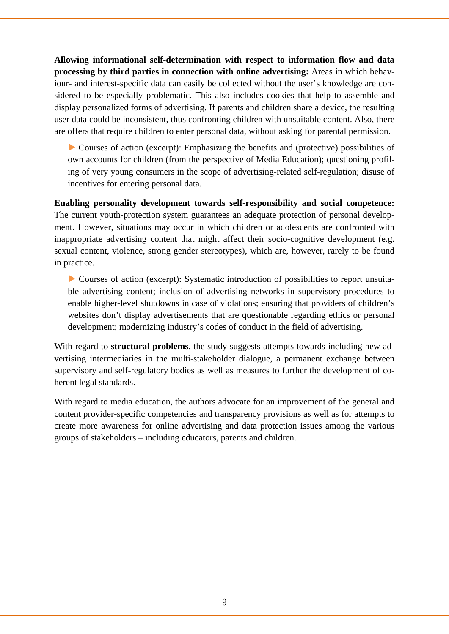**Allowing informational self-determination with respect to information flow and data processing by third parties in connection with online advertising:** Areas in which behaviour- and interest-specific data can easily be collected without the user's knowledge are considered to be especially problematic. This also includes cookies that help to assemble and display personalized forms of advertising. If parents and children share a device, the resulting user data could be inconsistent, thus confronting children with unsuitable content. Also, there are offers that require children to enter personal data, without asking for parental permission.

 $\triangleright$  Courses of action (excerpt): Emphasizing the benefits and (protective) possibilities of own accounts for children (from the perspective of Media Education); questioning profiling of very young consumers in the scope of advertising-related self-regulation; disuse of incentives for entering personal data.

**Enabling personality development towards self-responsibility and social competence:**  The current youth-protection system guarantees an adequate protection of personal development. However, situations may occur in which children or adolescents are confronted with inappropriate advertising content that might affect their socio-cognitive development (e.g. sexual content, violence, strong gender stereotypes), which are, however, rarely to be found in practice.

 Courses of action (excerpt): Systematic introduction of possibilities to report unsuitable advertising content; inclusion of advertising networks in supervisory procedures to enable higher-level shutdowns in case of violations; ensuring that providers of children's websites don't display advertisements that are questionable regarding ethics or personal development; modernizing industry's codes of conduct in the field of advertising.

With regard to **structural problems**, the study suggests attempts towards including new advertising intermediaries in the multi-stakeholder dialogue, a permanent exchange between supervisory and self-regulatory bodies as well as measures to further the development of coherent legal standards.

With regard to media education, the authors advocate for an improvement of the general and content provider-specific competencies and transparency provisions as well as for attempts to create more awareness for online advertising and data protection issues among the various groups of stakeholders – including educators, parents and children.